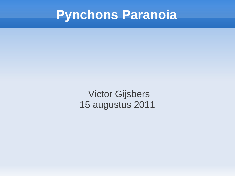#### **Pynchons Paranoia**

Victor Gijsbers 15 augustus 2011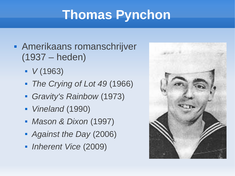## **Thomas Pynchon**

- Amerikaans romanschrijver (1937 – heden)
	- *V* (1963)
	- *The Crying of Lot 49* (1966)
	- *Gravity's Rainbow* (1973)
	- *Vineland* (1990)
	- *Mason & Dixon* (1997)
	- *Against the Day* (2006)
	- *Inherent Vice* (2009)

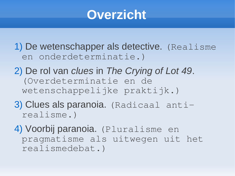#### **Overzicht**

1) De wetenschapper als detective. (Realisme en onderdeterminatie.)

- 2) De rol van *clues* in *The Crying of Lot 49*. (Overdeterminatie en de wetenschappelijke praktijk.)
- 3) Clues als paranoia. (Radicaal antirealisme.)
- 4) Voorbij paranoia. (Pluralisme en pragmatisme als uitwegen uit het realismedebat.)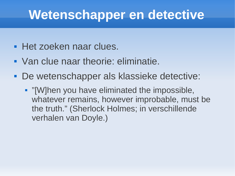#### **Wetenschapper en detective**

- **Het zoeken naar clues.**
- Van clue naar theorie: eliminatie.
- De wetenschapper als klassieke detective:
	- **Time** "[W]hen you have eliminated the impossible, whatever remains, however improbable, must be the truth." (Sherlock Holmes; in verschillende verhalen van Doyle.)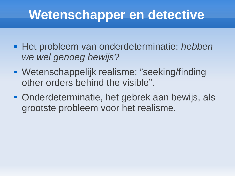#### **Wetenschapper en detective**

- Het probleem van onderdeterminatie: *hebben we wel genoeg bewijs*?
- Wetenschappelijk realisme: "seeking/finding other orders behind the visible".
- Onderdeterminatie, het gebrek aan bewijs, als grootste probleem voor het realisme.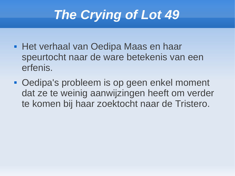- **Het verhaal van Oedipa Maas en haar** speurtocht naar de ware betekenis van een erfenis.
- Oedipa's probleem is op geen enkel moment dat ze te weinig aanwijzingen heeft om verder te komen bij haar zoektocht naar de Tristero.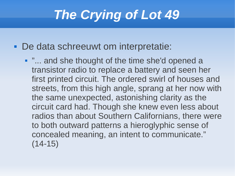De data schreeuwt om interpretatie:

**.** "... and she thought of the time she'd opened a transistor radio to replace a battery and seen her first printed circuit. The ordered swirl of houses and streets, from this high angle, sprang at her now with the same unexpected, astonishing clarity as the circuit card had. Though she knew even less about radios than about Southern Californians, there were to both outward patterns a hieroglyphic sense of concealed meaning, an intent to communicate."  $(14-15)$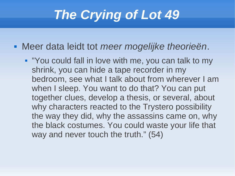Meer data leidt tot *meer mogelijke theorieën*.

" "You could fall in love with me, you can talk to my shrink, you can hide a tape recorder in my bedroom, see what I talk about from wherever I am when I sleep. You want to do that? You can put together clues, develop a thesis, or several, about why characters reacted to the Trystero possibility the way they did, why the assassins came on, why the black costumes. You could waste your life that way and never touch the truth." (54)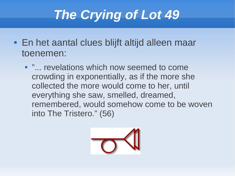- En het aantal clues blijft altijd alleen maar toenemen:
	- **.** "... revelations which now seemed to come crowding in exponentially, as if the more she collected the more would come to her, until everything she saw, smelled, dreamed, remembered, would somehow come to be woven into The Tristero." (56)

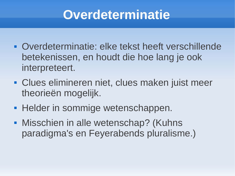#### **Overdeterminatie**

- Overdeterminatie: elke tekst heeft verschillende betekenissen, en houdt die hoe lang je ook interpreteert.
- Clues elimineren niet, clues maken juist meer theorieën mogelijk.
- **Helder in sommige wetenschappen.**
- **Misschien in alle wetenschap? (Kuhns** paradigma's en Feyerabends pluralisme.)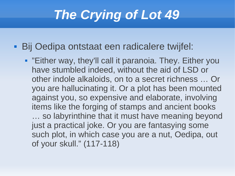Bij Oedipa ontstaat een radicalere twijfel:

 "Either way, they'll call it paranoia. They. Either you have stumbled indeed, without the aid of LSD or other indole alkaloids, on to a secret richness … Or you are hallucinating it. Or a plot has been mounted against you, so expensive and elaborate, involving items like the forging of stamps and ancient books … so labyrinthine that it must have meaning beyond just a practical joke. Or you are fantasying some such plot, in which case you are a nut, Oedipa, out of your skull." (117-118)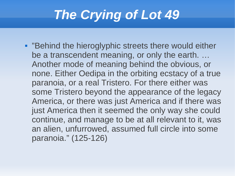**• "Behind the hieroglyphic streets there would either** be a transcendent meaning, or only the earth. … Another mode of meaning behind the obvious, or none. Either Oedipa in the orbiting ecstacy of a true paranoia, or a real Tristero. For there either was some Tristero beyond the appearance of the legacy America, or there was just America and if there was just America then it seemed the only way she could continue, and manage to be at all relevant to it, was an alien, unfurrowed, assumed full circle into some paranoia." (125-126)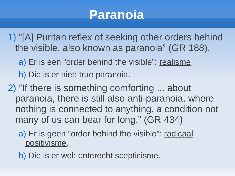#### **Paranoia**

- 1) "[A] Puritan reflex of seeking other orders behind the visible, also known as paranoia" (GR 188).
	- a) Er is een "order behind the visible": realisme.

b) Die is er niet: true paranoia.

2) "If there is something comforting ... about paranoia, there is still also anti-paranoia, where nothing is connected to anything, a condition not many of us can bear for long." (GR 434)

a) Er is geen "order behind the visible": radicaal positivisme.

b) Die is er wel: onterecht scepticisme.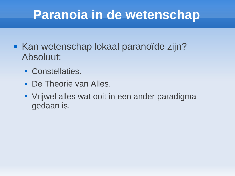### **Paranoia in de wetenschap**

- **Kan wetenschap lokaal paranoïde zijn?** Absoluut:
	- **Constellaties.**
	- De Theorie van Alles.
	- Vrijwel alles wat ooit in een ander paradigma gedaan is.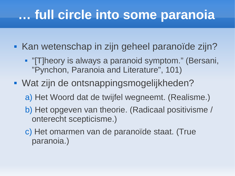### **… full circle into some paranoia**

- Kan wetenschap in zijn geheel paranoïde zijn?
	- "[T]heory is always a paranoid symptom." (Bersani, "Pynchon, Paranoia and Literature", 101)
- Wat zijn de ontsnappingsmogelijkheden?
	- a) Het Woord dat de twijfel wegneemt. (Realisme.)
	- b) Het opgeven van theorie. (Radicaal positivisme / onterecht scepticisme.)
	- c) Het omarmen van de paranoïde staat. (True paranoia.)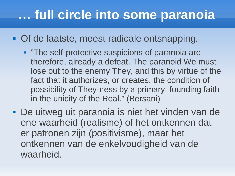### **… full circle into some paranoia**

- **Of de laatste, meest radicale ontsnapping.** 
	- **The self-protective suspicions of paranoia are,** therefore, already a defeat. The paranoid We must lose out to the enemy They, and this by virtue of the fact that it authorizes, or creates, the condition of possibility of They-ness by a primary, founding faith in the unicity of the Real." (Bersani)
- De uitweg uit paranoia is niet het vinden van de ene waarheid (realisme) of het ontkennen dat er patronen zijn (positivisme), maar het ontkennen van de enkelvoudigheid van de waarheid.